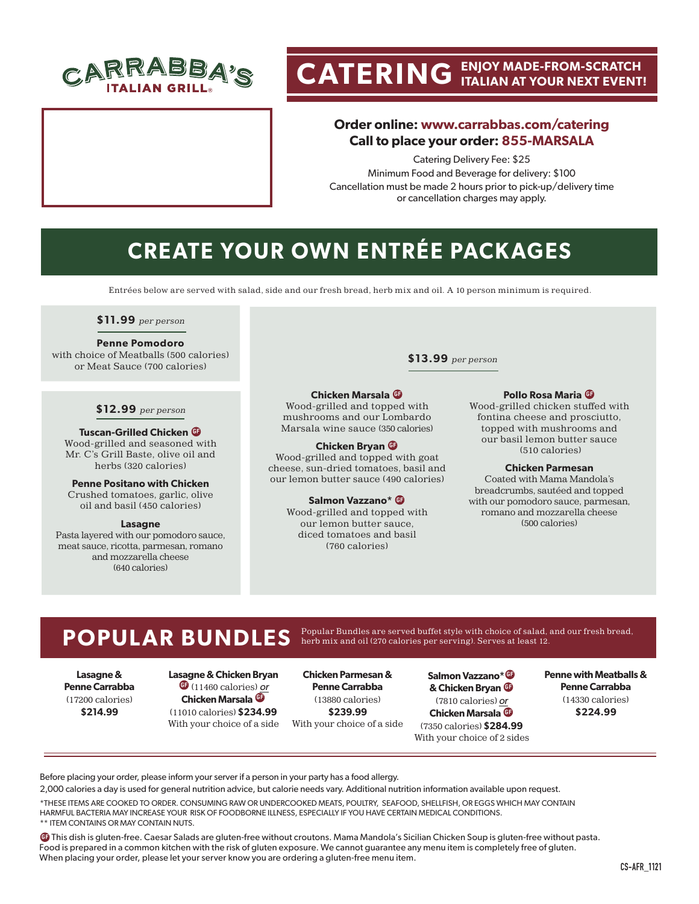

# **CATERING ENJOY MADE-FROM-SCRATCH ITALIAN AT YOUR NEXT EVENT!**

## **Order online: www.carrabbas.com/catering Call to place your order: 855-MARSALA**

Catering Delivery Fee: \$25 Minimum Food and Beverage for delivery: \$100 Cancellation must be made 2 hours prior to pick-up/delivery time or cancellation charges may apply.

## **CREATE YOUR OWN ENTRÉE PACK AGES**

Entrées below are served with salad, side and our fresh bread, herb mix and oil. A 10 person minimum is required.

**\$11.99** per person

#### **Penne Pomodoro**

with choice of Meatballs (500 calories) or Meat Sauce (700 calories)

#### **\$12.99** per person

**Tuscan-Grilled Chicken GF** Wood-grilled and seasoned with Mr. C's Grill Baste, olive oil and herbs (320 calories)

**Penne Positano with Chicken** Crushed tomatoes, garlic, olive

oil and basil (450 calories) **Lasagne**

Pasta layered with our pomodoro sauce, meat sauce, ricotta, parmesan, romano and mozzarella cheese (640 calories)

**\$13.99** per person

### **Chicken Marsala GF**

Wood-grilled and topped with mushrooms and our Lombardo Marsala wine sauce (350 calories)

#### **Chicken Bryan**  $\bf{G}$

Wood-grilled and topped with goat cheese, sun-dried tomatoes, basil and our lemon butter sauce (490 calories)

#### **Salmon Vazzano\* GF**

Wood-grilled and topped with our lemon butter sauce, diced tomatoes and basil (760 calories)

**Pollo Rosa Maria GF**

Wood-grilled chicken stuffed with fontina cheese and prosciutto, topped with mushrooms and our basil lemon butter sauce (510 calories)

#### **Chicken Parmesan**

Coated with Mama Mandola's breadcrumbs, sautéed and topped with our pomodoro sauce, parmesan, romano and mozzarella cheese (500 calories)

#### **POPULAR BUNDLES** Popular Bundles are served buffet style with choice of salad, and our fresh bread, herb mix and oil (270 calories per serving). Serves at least 12.

**Lasagne & Penne Carrabba** (17200 calories) **\$214.99**

**Lasagne & Chicken Bryan GF** (11460 calories) or **Chicken Marsala <sup>G</sup>** (11010 calories) **\$234.99** With your choice of a side

**Chicken Parmesan & Penne Carrabba**  (13880 calories) **\$239.99** With your choice of a side

**Salmon Vazzano\* GF & Chicken Bryan GF** (7810 calories) or **Chicken Marsala GF** (7350 calories) **\$284.99** With your choice of 2 sides **Penne with Meatballs & Penne Carrabba**  (14330 calories) **\$224.99**

Before placing your order, please inform your server if a person in your party has a food allergy.

2,000 calories a day is used for general nutrition advice, but calorie needs vary. Additional nutrition information available upon request. \*THESE ITEMS ARE COOKED TO ORDER. CONSUMING RAW OR UNDERCOOKED MEATS, POULTRY, SEAFOOD, SHELLFISH, OR EGGS WHICH MAY CONTAIN

HARMFUL BACTERIA MAY INCREASE YOUR RISK OF FOODBORNE ILLNESS, ESPECIALLY IF YOU HAVE CERTAIN MEDICAL CONDITIONS. \*\* ITEM CONTAINS OR MAY CONTAIN NUTS.

**GF** This dish is gluten-free. Caesar Salads are gluten-free without croutons. Mama Mandola's Sicilian Chicken Soup is gluten-free without pasta. Food is prepared in a common kitchen with the risk of gluten exposure. We cannot guarantee any menu item is completely free of gluten. When placing your order, please let your server know you are ordering a gluten-free menu item.